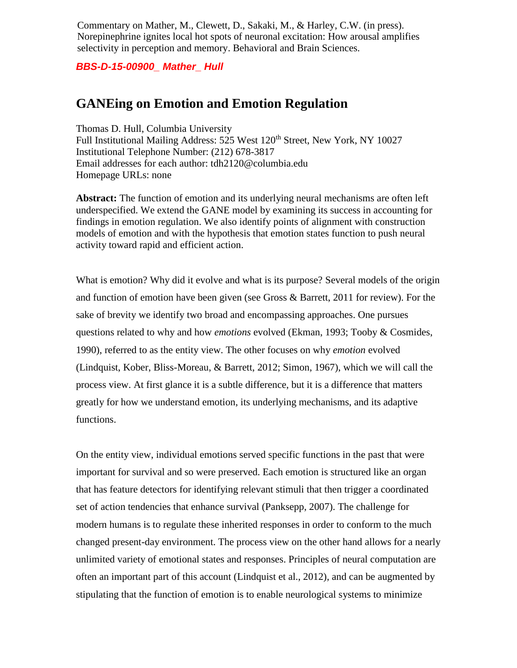Commentary on Mather, M., Clewett, D., Sakaki, M., & Harley, C.W. (in press). Norepinephrine ignites local hot spots of neuronal excitation: How arousal amplifies selectivity in perception and memory. Behavioral and Brain Sciences.

*BBS-D-15-00900\_ Mather\_ Hull*

## **GANEing on Emotion and Emotion Regulation**

Thomas D. Hull, Columbia University Full Institutional Mailing Address: 525 West 120<sup>th</sup> Street, New York, NY 10027 Institutional Telephone Number: (212) 678-3817 Email addresses for each author: tdh2120@columbia.edu Homepage URLs: none

**Abstract:** The function of emotion and its underlying neural mechanisms are often left underspecified. We extend the GANE model by examining its success in accounting for findings in emotion regulation. We also identify points of alignment with construction models of emotion and with the hypothesis that emotion states function to push neural activity toward rapid and efficient action.

What is emotion? Why did it evolve and what is its purpose? Several models of the origin and function of emotion have been given (see Gross & Barrett, 2011 for review). For the sake of brevity we identify two broad and encompassing approaches. One pursues questions related to why and how *emotions* evolved (Ekman, 1993; Tooby & Cosmides, 1990), referred to as the entity view. The other focuses on why *emotion* evolved (Lindquist, Kober, Bliss-Moreau, & Barrett, 2012; Simon, 1967), which we will call the process view. At first glance it is a subtle difference, but it is a difference that matters greatly for how we understand emotion, its underlying mechanisms, and its adaptive functions.

On the entity view, individual emotions served specific functions in the past that were important for survival and so were preserved. Each emotion is structured like an organ that has feature detectors for identifying relevant stimuli that then trigger a coordinated set of action tendencies that enhance survival (Panksepp, 2007). The challenge for modern humans is to regulate these inherited responses in order to conform to the much changed present-day environment. The process view on the other hand allows for a nearly unlimited variety of emotional states and responses. Principles of neural computation are often an important part of this account (Lindquist et al., 2012), and can be augmented by stipulating that the function of emotion is to enable neurological systems to minimize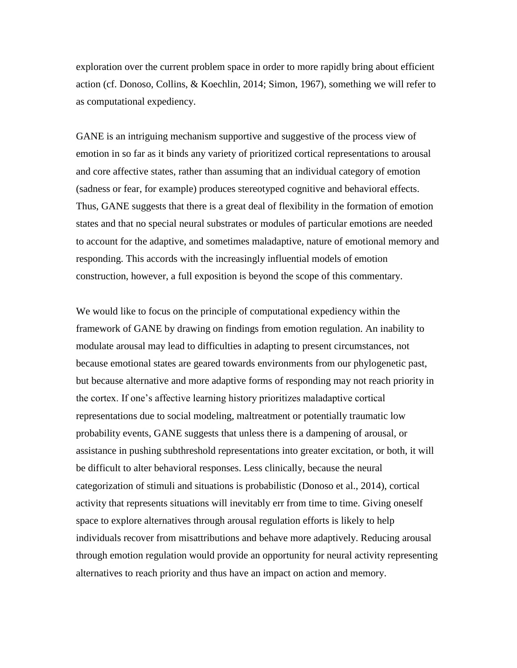exploration over the current problem space in order to more rapidly bring about efficient action (cf. Donoso, Collins, & Koechlin, 2014; Simon, 1967), something we will refer to as computational expediency.

GANE is an intriguing mechanism supportive and suggestive of the process view of emotion in so far as it binds any variety of prioritized cortical representations to arousal and core affective states, rather than assuming that an individual category of emotion (sadness or fear, for example) produces stereotyped cognitive and behavioral effects. Thus, GANE suggests that there is a great deal of flexibility in the formation of emotion states and that no special neural substrates or modules of particular emotions are needed to account for the adaptive, and sometimes maladaptive, nature of emotional memory and responding. This accords with the increasingly influential models of emotion construction, however, a full exposition is beyond the scope of this commentary.

We would like to focus on the principle of computational expediency within the framework of GANE by drawing on findings from emotion regulation. An inability to modulate arousal may lead to difficulties in adapting to present circumstances, not because emotional states are geared towards environments from our phylogenetic past, but because alternative and more adaptive forms of responding may not reach priority in the cortex. If one's affective learning history prioritizes maladaptive cortical representations due to social modeling, maltreatment or potentially traumatic low probability events, GANE suggests that unless there is a dampening of arousal, or assistance in pushing subthreshold representations into greater excitation, or both, it will be difficult to alter behavioral responses. Less clinically, because the neural categorization of stimuli and situations is probabilistic (Donoso et al., 2014), cortical activity that represents situations will inevitably err from time to time. Giving oneself space to explore alternatives through arousal regulation efforts is likely to help individuals recover from misattributions and behave more adaptively. Reducing arousal through emotion regulation would provide an opportunity for neural activity representing alternatives to reach priority and thus have an impact on action and memory.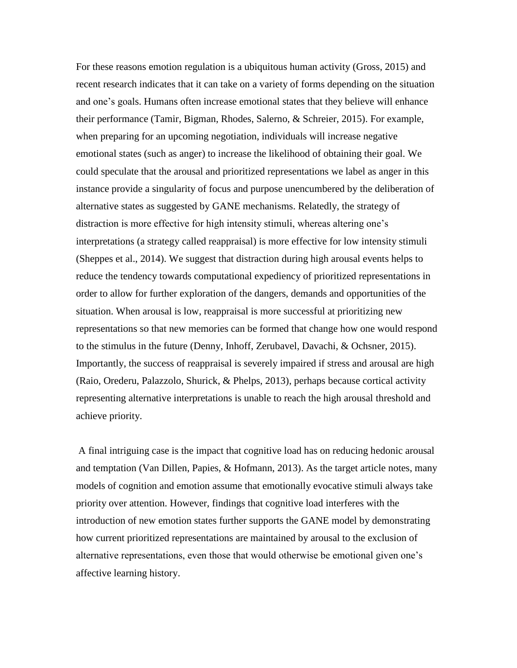For these reasons emotion regulation is a ubiquitous human activity (Gross, 2015) and recent research indicates that it can take on a variety of forms depending on the situation and one's goals. Humans often increase emotional states that they believe will enhance their performance (Tamir, Bigman, Rhodes, Salerno, & Schreier, 2015). For example, when preparing for an upcoming negotiation, individuals will increase negative emotional states (such as anger) to increase the likelihood of obtaining their goal. We could speculate that the arousal and prioritized representations we label as anger in this instance provide a singularity of focus and purpose unencumbered by the deliberation of alternative states as suggested by GANE mechanisms. Relatedly, the strategy of distraction is more effective for high intensity stimuli, whereas altering one's interpretations (a strategy called reappraisal) is more effective for low intensity stimuli (Sheppes et al., 2014). We suggest that distraction during high arousal events helps to reduce the tendency towards computational expediency of prioritized representations in order to allow for further exploration of the dangers, demands and opportunities of the situation. When arousal is low, reappraisal is more successful at prioritizing new representations so that new memories can be formed that change how one would respond to the stimulus in the future (Denny, Inhoff, Zerubavel, Davachi, & Ochsner, 2015). Importantly, the success of reappraisal is severely impaired if stress and arousal are high (Raio, Orederu, Palazzolo, Shurick, & Phelps, 2013), perhaps because cortical activity representing alternative interpretations is unable to reach the high arousal threshold and achieve priority.

A final intriguing case is the impact that cognitive load has on reducing hedonic arousal and temptation (Van Dillen, Papies, & Hofmann, 2013). As the target article notes, many models of cognition and emotion assume that emotionally evocative stimuli always take priority over attention. However, findings that cognitive load interferes with the introduction of new emotion states further supports the GANE model by demonstrating how current prioritized representations are maintained by arousal to the exclusion of alternative representations, even those that would otherwise be emotional given one's affective learning history.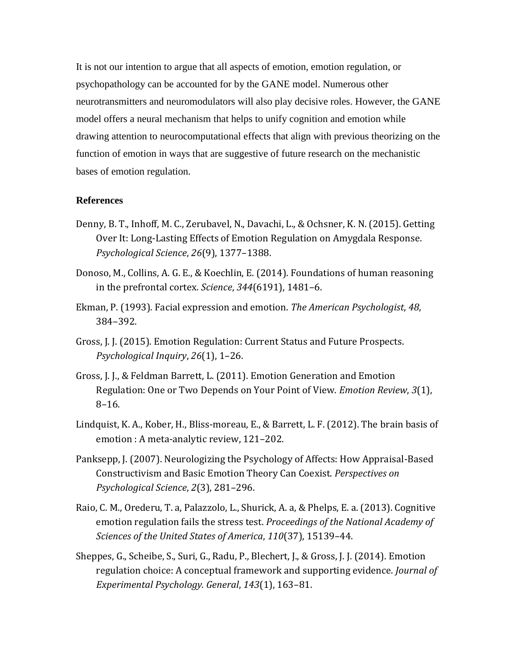It is not our intention to argue that all aspects of emotion, emotion regulation, or psychopathology can be accounted for by the GANE model. Numerous other neurotransmitters and neuromodulators will also play decisive roles. However, the GANE model offers a neural mechanism that helps to unify cognition and emotion while drawing attention to neurocomputational effects that align with previous theorizing on the function of emotion in ways that are suggestive of future research on the mechanistic bases of emotion regulation.

## **References**

- Denny, B. T., Inhoff, M. C., Zerubavel, N., Davachi, L., & Ochsner, K. N. (2015). Getting Over It: Long-Lasting Effects of Emotion Regulation on Amygdala Response. *Psychological Science*, *26*(9), 1377–1388.
- Donoso, M., Collins, A. G. E., & Koechlin, E. (2014). Foundations of human reasoning in the prefrontal cortex. *Science*, *344*(6191), 1481–6.
- Ekman, P. (1993). Facial expression and emotion. *The American Psychologist*, *48*, 384–392.
- Gross, J. J. (2015). Emotion Regulation: Current Status and Future Prospects. *Psychological Inquiry*, *26*(1), 1–26.
- Gross, J. J., & Feldman Barrett, L. (2011). Emotion Generation and Emotion Regulation: One or Two Depends on Your Point of View. *Emotion Review*, *3*(1), 8–16.
- Lindquist, K. A., Kober, H., Bliss-moreau, E., & Barrett, L. F. (2012). The brain basis of emotion : A meta-analytic review, 121–202.
- Panksepp, J. (2007). Neurologizing the Psychology of Affects: How Appraisal-Based Constructivism and Basic Emotion Theory Can Coexist. *Perspectives on Psychological Science*, *2*(3), 281–296.
- Raio, C. M., Orederu, T. a, Palazzolo, L., Shurick, A. a, & Phelps, E. a. (2013). Cognitive emotion regulation fails the stress test. *Proceedings of the National Academy of Sciences of the United States of America*, *110*(37), 15139–44.
- Sheppes, G., Scheibe, S., Suri, G., Radu, P., Blechert, J., & Gross, J. J. (2014). Emotion regulation choice: A conceptual framework and supporting evidence. *Journal of Experimental Psychology. General*, *143*(1), 163–81.